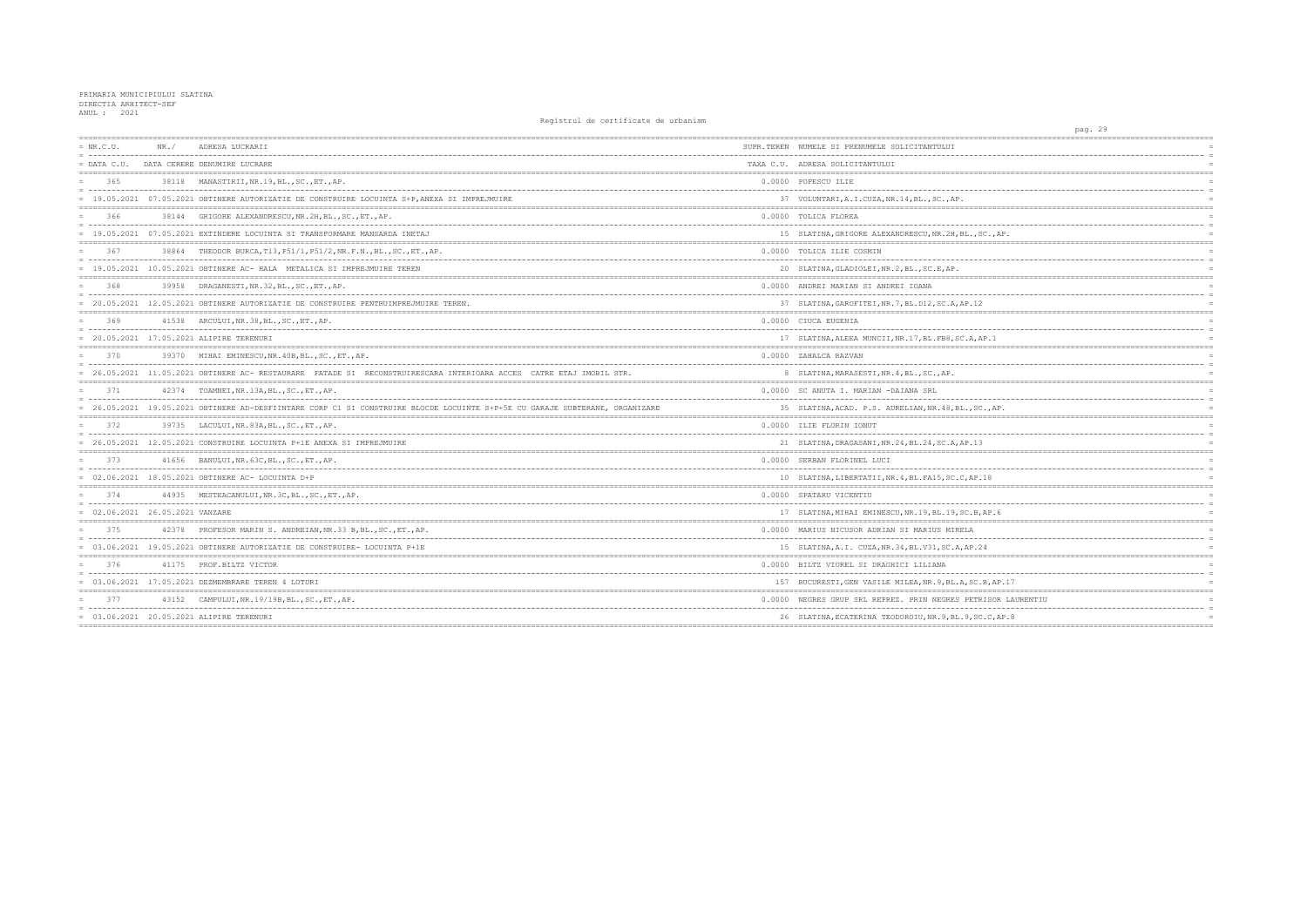| $= NR.C.U.$                               | NR. / | ADRESA LUCRARII                                                                                                              | SUPR.TEREN NUMELE SI PRENUMELE SOLICITANTULUI         |
|-------------------------------------------|-------|------------------------------------------------------------------------------------------------------------------------------|-------------------------------------------------------|
| $=$ DATA C.U.                             |       | DATA CERERE DENUMIRE LUCRARE                                                                                                 | TAXA C.U. ADRESA SOLICITANTULUI                       |
| 365                                       |       | 38118 MANASTIRII, NR.19, BL., SC., ET., AP.                                                                                  | 0.0000 POPESCU ILIE                                   |
|                                           |       | = 19.05.2021 07.05.2021 OBTINERE AUTORIZATIE DE CONSTRUIRE LOCUINTA S+P, ANEXA SI IMPREJMUIRE                                | 37 VOLUNTARI, A.I.CUZA, NR.14, BL., SC., AP.          |
| 366                                       |       | 38144 GRIGORE ALEXANDRESCU, NR.2H, BL., SC., ET., AP.                                                                        | 0.0000 TOLICA FLOREA                                  |
|                                           |       | = 19.05.2021 07.05.2021 EXTINDERE LOCUINTA SI TRANSFORMARE MANSARDA INETAJ                                                   | 15 SLATINA, GRIGORE ALEXANDRESCU, NR. 2H, BL., SO     |
| 367                                       |       | 38864 THEODOR BURCA, T13, P51/1, P51/2, NR.F.N., BL., SC., ET., AP.                                                          | 0.0000 TOLICA ILIE COSMIN                             |
|                                           |       | = 19.05.2021 10.05.2021 OBTINERE AC- HALA METALICA SI IMPREJMUIRE TEREN                                                      | 20 SLATINA, GLADIOLEI, NR. 2, BL., SC. E, AP.         |
| 368                                       |       | 39958 DRAGANESTI, NR. 32, BL., SC., ET., AP.                                                                                 | 0.0000 ANDREI MARIAN SI ANDREI IOANA                  |
|                                           |       | = 20.05.2021 12.05.2021 OBTINERE AUTORIZATIE DE CONSTRUIRE PENTRUIMPREJMUIRE TEREN.                                          | 37 SLATINA, GAROFITEI, NR. 7, BL. D12, SC. A, AP. 12  |
| 369                                       |       | 41538 ARCULUI, NR. 38, BL., SC., ET., AP.                                                                                    | 0.0000 CIUCA EUGENIA                                  |
|                                           |       | = 20.05.2021 17.05.2021 ALIPIRE TERENURI                                                                                     | 17 SLATINA, ALEEA MUNCII, NR. 17, BL. FB8, SC. A, AF  |
| 370                                       |       | 39370 MIHAI EMINESCU, NR. 40B, BL., SC., ET., AP.                                                                            | 0.0000 ZAHALCA RAZVAN                                 |
|                                           |       | = 26.05.2021 11.05.2021 OBTINERE AC- RESTAURARE FATADE SI RECONSTRUIRESCARA INTERIOARA ACCES CATRE ETAJ IMOBIL STR.          | 8 SLATINA, MARASESTI, NR. 4, BL., SC., AP.            |
| 371                                       |       | 42374 TOAMNEI, NR.13A, BL., SC., ET., AP.                                                                                    | 0.0000 SC ANUTA I. MARIAN -DAIANA SRL                 |
|                                           |       | = 26.05.2021 19.05.2021 OBTINERE AD-DESFIINTARE CORP C1 SI CONSTRUIRE BLOCDE LOCUINTE S+P+5E CU GARAJE SUBTERANE, ORGANIZARE | 35 SLATINA, ACAD. P.S. AURELIAN, NR. 48, BL., SC.     |
| 372                                       |       | 39735 LACULUI, NR. 83A, BL., SC., ET., AP.                                                                                   | 0.0000 ILIE FLORIN IONUT                              |
|                                           |       | 26.05.2021 12.05.2021 CONSTRUIRE LOCUINTA P+1E ANEXA SI IMPREJMUIRE                                                          | 21 SLATINA, DRAGASANI, NR. 24, BL. 24, SC. A, AP. 13  |
| 373                                       |       | 41656 BANULUI, NR. 63C, BL., SC., ET., AP.                                                                                   | 0.0000 SERBAN FLORINEL LUCI                           |
|                                           |       | = 02.06.2021 18.05.2021 OBTINERE AC- LOCUINTA D+P                                                                            | 10 SLATINA, LIBERTATII, NR. 4, BL. FA15, SC. C, AP. 1 |
| 374                                       |       | 44935 MESTEACANULUI, NR.3C, BL., SC., ET., AP.                                                                               | 0.0000 SPATARU VICENTIU                               |
| $= 02.06.2021 26.05.2021 \text{ VANZARE}$ |       |                                                                                                                              | 17 SLATINA, MIHAI EMINESCU, NR. 19, BL. 19, SC. B, A  |
| 375                                       |       | 42378 PROFESOR MARIN S. ANDREIAN, NR.33 B, BL., SC., ET., AP.                                                                | 0.0000 MARIUS NICUSOR ADRIAN SI MARIUS MIRELA         |
|                                           |       | = 03.06.2021 19.05.2021 OBTINERE AUTORIZATIE DE CONSTRUIRE- LOCUINTA P+1E                                                    | 15 SLATINA, A.I. CUZA, NR. 34, BL. V31, SC. A, AP. 24 |
| 376                                       |       | 41175 PROF.BILTZ VICTOR                                                                                                      | 0.0000 BILTZ VIOREL SI DRAGHICI LILIANA               |
|                                           |       | $= 03.06.2021$ 17.05.2021 DEZMEMBRARE TEREN 4 LOTURI                                                                         | 157 BUCURESTI, GEN VASILE MILEA, NR. 9, BL. A, SC. E  |
| 377                                       |       | 43152 CAMPULUI, NR. 19/19B, BL., SC., ET., AP.                                                                               | 0.0000 NEGRES GRUP SRL REPREZ. PRIN NEGRES PETRI      |
|                                           |       | = 03.06.2021 20.05.2021 ALIPIRE TERENURI                                                                                     | 26 SLATINA, ECATERINA TEODOROIU, NR. 9, BL. 9, SC.    |
|                                           |       |                                                                                                                              |                                                       |

| pag. 29              |                |
|----------------------|----------------|
|                      |                |
|                      |                |
|                      |                |
|                      |                |
|                      |                |
|                      |                |
|                      |                |
|                      |                |
|                      |                |
|                      | Ė              |
|                      |                |
| $.,$ AP.             |                |
|                      |                |
|                      |                |
|                      |                |
| =========            |                |
|                      |                |
|                      |                |
|                      |                |
| =========            |                |
|                      |                |
|                      |                |
| $\cdot$ 1            |                |
|                      |                |
|                      |                |
|                      |                |
|                      |                |
|                      |                |
|                      |                |
|                      | Ë              |
| , $AP$ .             |                |
| =========            |                |
|                      |                |
|                      | E              |
|                      |                |
| ========<br>======== |                |
|                      |                |
|                      | $\overline{a}$ |
| 8                    |                |
|                      |                |
|                      | F              |
|                      |                |
| P.6                  |                |
|                      |                |
|                      |                |
|                      |                |
|                      |                |
|                      |                |
|                      |                |
| ------               |                |
| , AP.17              |                |
|                      |                |
| SOR LAURENTIU        |                |
|                      |                |
| $C$ , AP. 8          |                |
| $=======$            |                |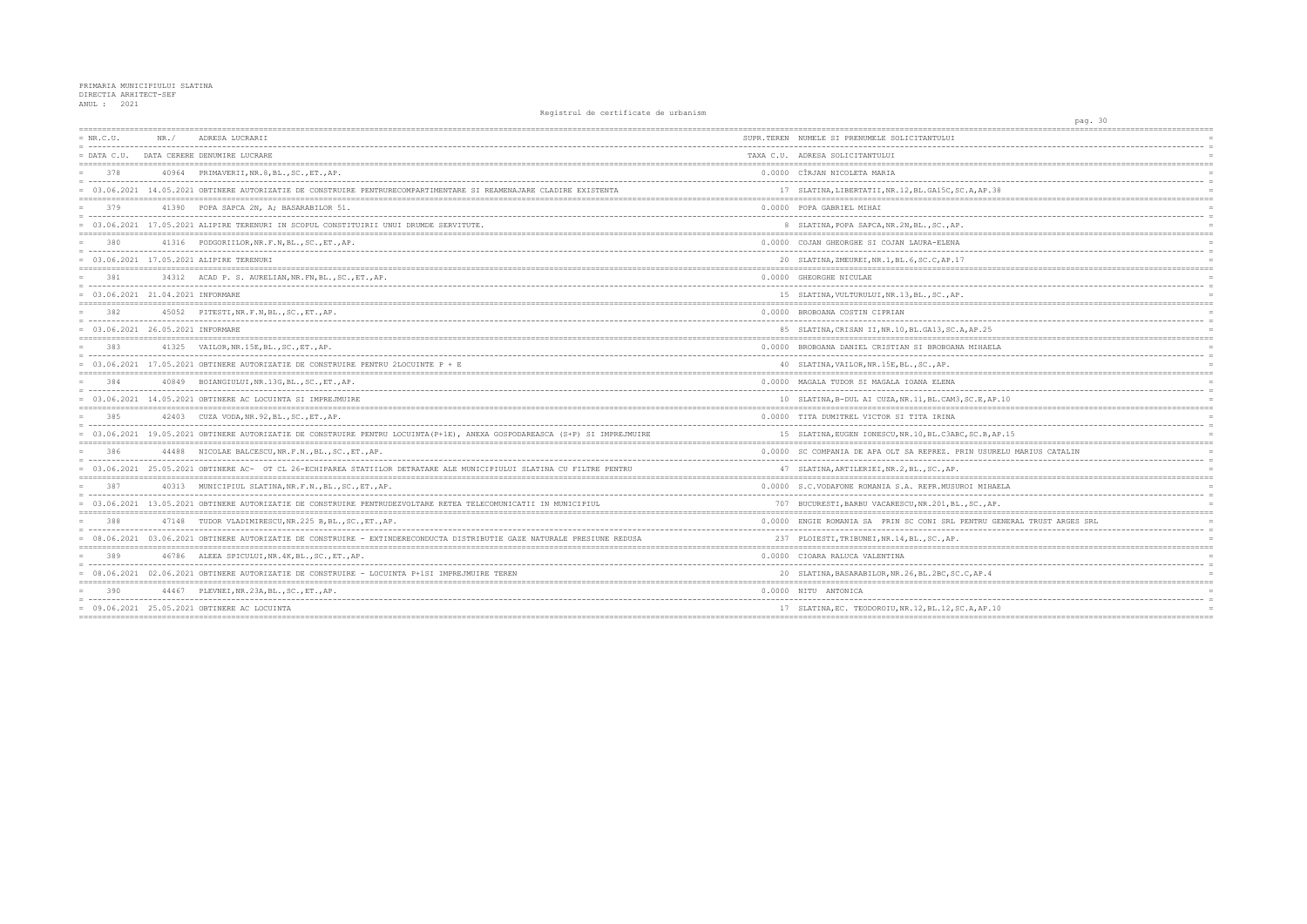| $= NR.C.U.$                         | NR./ | ADRESA LUCRARII                                                                                                             | SUPR. TEREN NUMELE SI PRENUMELE SOLICITANTULUI         |
|-------------------------------------|------|-----------------------------------------------------------------------------------------------------------------------------|--------------------------------------------------------|
|                                     |      | = DATA C.U. DATA CERERE DENUMIRE LUCRARE                                                                                    | TAXA C.U. ADRESA SOLICITANTULUI                        |
| 378                                 |      | 40964 PRIMAVERII, NR. 8, BL., SC., ET., AP.                                                                                 | 0.0000 CÎRJAN NICOLETA MARIA                           |
|                                     |      | = 03.06.2021 14.05.2021 OBTINERE AUTORIZATIE DE CONSTRUIRE PENTRURECOMPARTIMENTARE SI REAMENAJARE CLADIRE EXISTENTA         | 17 SLATINA, LIBERTATII, NR. 12, BL. GA15C, SC. A, AP.  |
| 379                                 |      | 41390 POPA SAPCA 2N, A; BASARABILOR 51.                                                                                     | 0.0000 POPA GABRIEL MIHAI                              |
|                                     |      | = 03.06.2021 17.05.2021 ALIPIRE TERENURI IN SCOPUL CONSTITUIRII UNUI DRUMDE SERVITUTE.                                      | 8 SLATINA, POPA SAPCA, NR. 2N, BL., SC., AP.           |
| 380                                 |      | 41316 PODGORIILOR, NR.F.N, BL., SC., ET., AP.                                                                               | 0.0000 COJAN GHEORGHE SI COJAN LAURA-ELENA             |
|                                     |      | = 03.06.2021 17.05.2021 ALIPIRE TERENURI                                                                                    | 20 SLATINA, ZMEUREI, NR.1, BL.6, SC.C, AP.17           |
| 381                                 |      | 34312 ACAD P. S. AURELIAN, NR. FN, BL., SC., ET., AP.                                                                       | 0.0000 GHEORGHE NICULAE                                |
| $= 03.06.2021 21.04.2021$ INFORMARE |      |                                                                                                                             | 15 SLATINA, VULTURULUI, NR. 13, BL., SC., AP.          |
| 382                                 |      | 45052 PITESTI, NR.F.N, BL., SC., ET., AP.                                                                                   | 0.0000 BROBOANA COSTIN CIPRIAN                         |
| = 03.06.2021 26.05.2021 INFORMARE   |      |                                                                                                                             | 85 SLATINA, CRISAN II, NR. 10, BL. GA13, SC. A, AP. 25 |
| 383                                 |      | 41325 VAILOR, NR. 15E, BL., SC., ET., AP.                                                                                   | 0.0000 BROBOANA DANIEL CRISTIAN SI BROBOANA MIHAEI     |
|                                     |      | $= 03.06.2021$ 17.05.2021 OBTINERE AUTORIZATIE DE CONSTRUIRE PENTRU 2LOCUINTE P + E                                         | 40 SLATINA, VAILOR, NR. 15E, BL., SC., AP.             |
| 384                                 |      | 40849 BOIANGIULUI, NR.13G, BL., SC., ET., AP.                                                                               | 0.0000 MAGALA TUDOR SI MAGALA IOANA ELENA              |
|                                     |      | $= 03.06.2021$ 14.05.2021 OBTINERE AC LOCUINTA SI IMPREJMUIRE                                                               | 10 SLATINA, B-DUL AI CUZA, NR.11, BL.CAM3, SC.E, AI    |
| 385                                 |      | 42403 CUZA VODA, NR. 92, BL., SC., ET., AP.                                                                                 | 0.0000 TITA DUMITREL VICTOR SI TITA IRINA              |
|                                     |      | = 03.06.2021 19.05.2021 OBTINERE AUTORIZATIE DE CONSTRUIRE PENTRU LOCUINTA (P+1E), ANEXA GOSPODAREASCA (S+P) SI IMPREJMUIRE | 15 SLATINA, EUGEN IONESCU, NR.10, BL.C3ABC, SC.B, A    |
| 386                                 |      | 44488 NICOLAE BALCESCU, NR.F.N., BL., SC., ET., AP.                                                                         | 0.0000 SC COMPANIA DE APA OLT SA REPREZ. PRIN USUP     |
|                                     |      | = 03.06.2021 25.05.2021 OBTINERE AC- OT CL 26-ECHIPAREA STATIILOR DETRATARE ALE MUNICIPIULUI SLATINA CU FILTRE PENTRU       | 47 SLATINA, ARTILERIEI, NR. 2, BL., SC., AP.           |
| 387                                 |      | 40313 MUNICIPIUL SLATINA, NR. F. N., BL., SC., ET., AP.                                                                     | 0.0000 S.C.VODAFONE ROMANIA S.A. REPR.MUSUROI MIHA     |
|                                     |      | = 03.06.2021 13.05.2021 OBTINERE AUTORIZATIE DE CONSTRUIRE PENTRUDEZVOLTARE RETEA TELECOMUNICATII IN MUNICIPIUL             | 707 BUCURESTI, BARBU VACARESCU, NR. 201, BL., SC., AI  |
| 388                                 |      | 47148 TUDOR VLADIMIRESCU, NR. 225 B, BL., SC., ET., AP.                                                                     | 0.0000 ENGIE ROMANIA SA PRIN SC CONI SRL PENTRU (      |
|                                     |      | = 08.06.2021 03.06.2021 OBTINERE AUTORIZATIE DE CONSTRUIRE - EXTINDERECONDUCTA DISTRIBUTIE GAZE NATURALE PRESIUNE REDUSA    | 237 PLOIESTI, TRIBUNEI, NR. 14, BL., SC., AP.          |
| 389                                 |      | 46786 ALEEA SPICULUI, NR. 4K, BL., SC., ET., AP.                                                                            | 0.0000 CIOARA RALUCA VALENTINA                         |
|                                     |      | = 08.06.2021 02.06.2021 OBTINERE AUTORIZATIE DE CONSTRUIRE - LOCUINTA P+1SI IMPREJMUIRE TEREN                               | 20 SLATINA, BASARABILOR, NR. 26, BL. 2BC, SC. C, AP. 4 |
| 390                                 |      | 44467 PLEVNEI, NR. 23A, BL., SC., ET., AP.                                                                                  | 0.0000 NITU ANTONICA                                   |
|                                     |      | = 09.06.2021 25.05.2021 OBTINERE AC LOCUINTA                                                                                | 17 SLATINA, EC. TEODOROIU, NR.12, BL.12, SC.A, AP.1    |
|                                     |      |                                                                                                                             |                                                        |

|                                     | pag. 30 |                                            |
|-------------------------------------|---------|--------------------------------------------|
|                                     |         |                                            |
|                                     |         |                                            |
|                                     |         | $=$<br>$=$                                 |
| ----------------------------------- |         | $=$                                        |
|                                     |         |                                            |
|                                     |         | $=$                                        |
| AP.38                               |         | $=$                                        |
| =========                           |         | -----------------------                    |
|                                     |         | $=$                                        |
|                                     |         | $=$                                        |
|                                     |         | $=$                                        |
|                                     |         | $=$<br>$=$                                 |
|                                     |         | $=$                                        |
|                                     |         | $=$                                        |
|                                     |         | :======                                    |
|                                     |         | $=$                                        |
|                                     |         | $=$                                        |
|                                     |         | $=$                                        |
|                                     |         |                                            |
|                                     |         | $=$                                        |
|                                     |         | $=$                                        |
| .25                                 |         |                                            |
| HAELA                               |         | $=$ $=$                                    |
|                                     |         | $=$                                        |
|                                     |         | $=$                                        |
|                                     |         |                                            |
|                                     |         | $=$                                        |
|                                     |         | $=$                                        |
| $E$ , AP.10                         |         | $=$                                        |
| $=$ $=$ $=$<br>$=$ $=$ $=$ $=$      |         |                                            |
| -----------                         |         | $=$<br>$=$                                 |
| .B, AP.15                           |         |                                            |
|                                     |         | $=$                                        |
| USURELU MARIUS CATALIN              |         | $=$                                        |
|                                     |         | $=$                                        |
|                                     |         | $=$                                        |
|                                     |         | $=$                                        |
| MIHAELA                             |         | $=$                                        |
|                                     |         | $=$<br>$=$                                 |
| ., AP.                              |         | $=$<br>=======                             |
| RU GENERAL TRUST ARGES SRL          |         |                                            |
| ----                                |         | $=$                                        |
|                                     |         |                                            |
|                                     |         |                                            |
|                                     |         | $=$                                        |
|                                     |         | $=$                                        |
| P.4                                 |         | $=$                                        |
| ================                    |         | $=$<br>----------------------------------- |
|                                     |         | $=$<br>$=$                                 |
| AP.10                               |         | $=$                                        |
|                                     |         |                                            |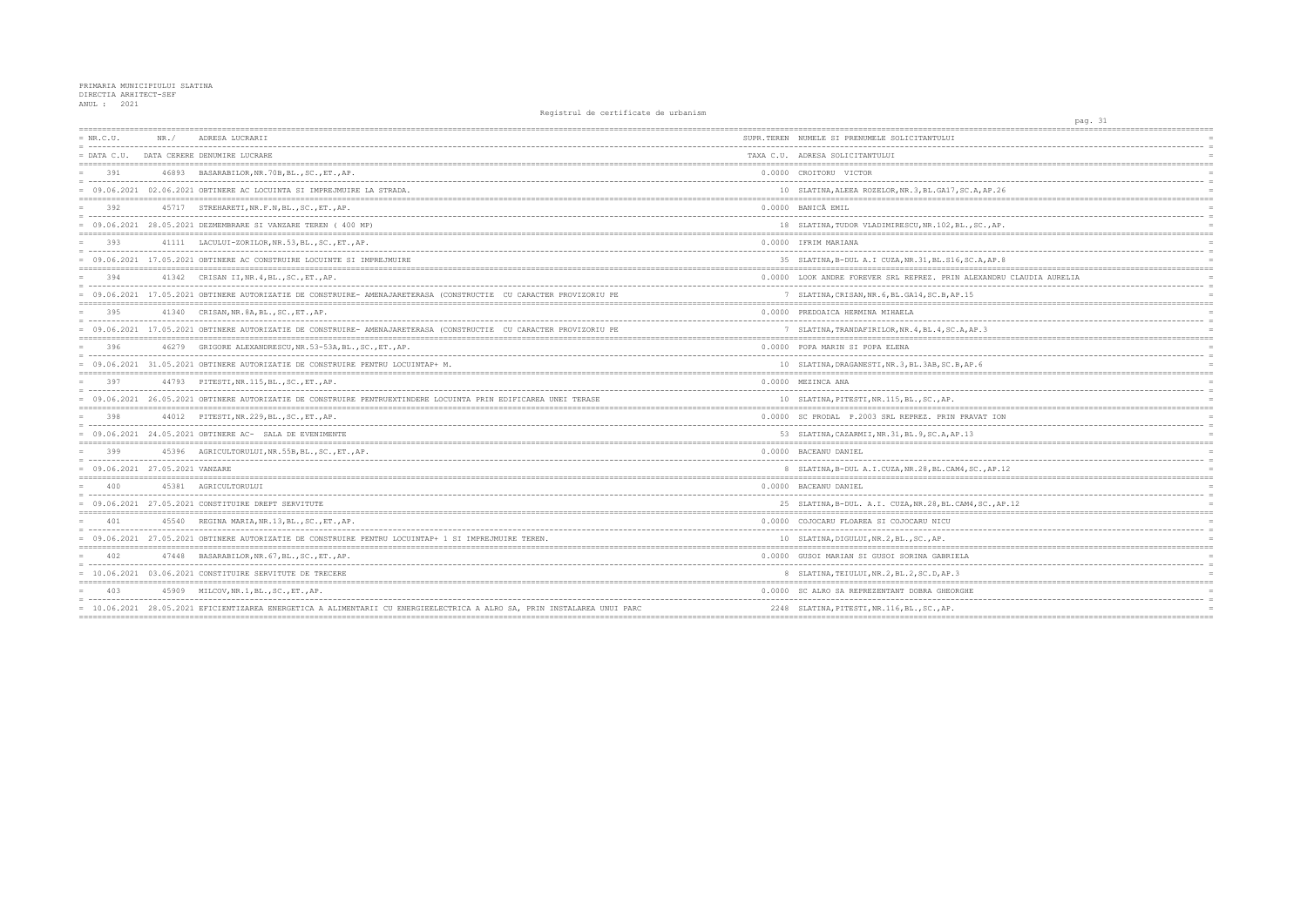| $= NR.C.U.$                               | NR. / | ADRESA LUCRARII                                                                                                          | SUPR.TEREN NUMELE SI PRENUMELE SOLICITANTULUI         |
|-------------------------------------------|-------|--------------------------------------------------------------------------------------------------------------------------|-------------------------------------------------------|
|                                           |       | = DATA C.U. DATA CERERE DENUMIRE LUCRARE                                                                                 | TAXA C.U. ADRESA SOLICITANTULUI                       |
| 391                                       |       | 46893 BASARABILOR, NR. 70B, BL., SC., ET., AP.                                                                           | 0.0000 CROITORU VICTOR                                |
|                                           |       | = 09.06.2021 02.06.2021 OBTINERE AC LOCUINTA SI IMPREJMUIRE LA STRADA.                                                   | 10 SLATINA, ALEEA ROZELOR, NR. 3, BL. GA17, SC. A, AP |
| 392                                       |       | 45717 STREHARETI, NR.F.N, BL., SC., ET., AP.                                                                             | 0.0000 BANICÃ EMIL                                    |
|                                           |       | 09.06.2021 28.05.2021 DEZMEMBRARE SI VANZARE TEREN ( 400 MP)                                                             | 18 SLATINA, TUDOR VLADIMIRESCU, NR. 102, BL., SC.,    |
| 393                                       |       | 41111 LACULUI-ZORILOR, NR.53, BL., SC., ET., AP.                                                                         | 0.0000 IFRIM MARIANA                                  |
|                                           |       | = 09.06.2021 17.05.2021 OBTINERE AC CONSTRUIRE LOCUINTE SI IMPREJMUIRE                                                   | 35 SLATINA, B-DUL A.I CUZA, NR. 31, BL. S16, SC. A, A |
| 394                                       |       | 41342 CRISAN II, NR. 4, BL., SC., ET., AP.                                                                               | 0.0000 LOOK ANDRE FOREVER SRL REPREZ. PRIN ALEXAN     |
|                                           |       | = 09.06.2021 17.05.2021 OBTINERE AUTORIZATIE DE CONSTRUIRE- AMENAJARETERASA (CONSTRUCTIE CU CARACTER PROVIZORIU PE       | 7 SLATINA, CRISAN, NR. 6, BL. GA14, SC. B, AP. 15     |
| 395                                       |       | 41340 CRISAN, NR. 8A, BL., SC., ET., AP.                                                                                 | 0.0000 PREDOAICA HERMINA MIHAELA                      |
|                                           |       | 09.06.2021 17.05.2021 OBTINERE AUTORIZATIE DE CONSTRUIRE- AMENAJARETERASA (CONSTRUCTIE CU CARACTER PROVIZORIU PE         | 7 SLATINA, TRANDAFIRILOR, NR. 4, BL. 4, SC. A, AP. 3  |
| 396                                       |       | 46279 GRIGORE ALEXANDRESCU, NR. 53-53A, BL., SC., ET., AP.                                                               | 0.0000 POPA MARIN SI POPA ELENA                       |
|                                           |       | = 09.06.2021 31.05.2021 OBTINERE AUTORIZATIE DE CONSTRUIRE PENTRU LOCUINTAP+ M.                                          | 10 SLATINA, DRAGANESTI, NR. 3, BL. 3AB, SC. B, AP. 6  |
| 397                                       |       | 44793 PITESTI, NR. 115, BL., SC., ET., AP.                                                                               | 0.0000 MEZINCA ANA                                    |
|                                           |       | = 09.06.2021 26.05.2021 OBTINERE AUTORIZATIE DE CONSTRUIRE PENTRUEXTINDERE LOCUINTA PRIN EDIFICAREA UNEI TERASE          | 10 SLATINA, PITESTI, NR. 115, BL., SC., AP.           |
| 398                                       |       | 44012 PITESTI, NR. 229, BL., SC., ET., AP.                                                                               | 0.0000 SC PRODAL P.2003 SRL REPREZ, PRIN PRAVAT       |
|                                           |       | 09.06.2021 24.05.2021 OBTINERE AC- SALA DE EVENIMENTE                                                                    | 53 SLATINA, CAZARMII, NR. 31, BL. 9, SC. A, AP. 13    |
| 399                                       |       | 45396 AGRICULTORULUI, NR. 55B, BL., SC., ET., AP.                                                                        | 0.0000 BACEANU DANIEL                                 |
| $= 09.06.2021 27.05.2021 \text{ VANZARE}$ |       |                                                                                                                          | 8 SLATINA, B-DUL A.I.CUZA, NR.28, BL.CAM4, SC., A     |
| 400                                       |       | 45381 AGRICULTORULUI                                                                                                     | 0.0000 BACEANU DANIEL                                 |
|                                           |       | $= 09.06.2021 27.05.2021$ CONSTITUIRE DREPT SERVITUTE                                                                    | 25 SLATINA, B-DUL. A.I. CUZA, NR. 28, BL. CAM4, SC.   |
| 401                                       |       | 45540 REGINA MARIA, NR. 13, BL., SC., ET., AP.                                                                           | 0.0000 COJOCARU FLOAREA SI COJOCARU NICU              |
|                                           |       | 09.06.2021 27.05.2021 OBTINERE AUTORIZATIE DE CONSTRUIRE PENTRU LOCUINTAP+ 1 SI IMPREJMUIRE TEREN.                       | 10 SLATINA, DIGULUI, NR.2, BL., SC., AP.              |
| 402                                       |       | 47448 BASARABILOR, NR. 67, BL., SC., ET., AP.                                                                            | 0.0000 GUSOI MARIAN SI GUSOI SORINA GABRIELA          |
|                                           |       | $= 10.06.2021$ 03.06.2021 CONSTITUIRE SERVITUTE DE TRECERE                                                               | 8 SLATINA, TEIULUI, NR. 2, BL. 2, SC. D, AP. 3        |
| 403                                       |       | 45909 MILCOV, NR. 1, BL., SC., ET., AP.                                                                                  | 0.0000 SC ALRO SA REPREZENTANT DOBRA GHEORGHE         |
|                                           |       | = 10.06.2021 28.05.2021 EFICIENTIZAREA ENERGETICA A ALIMENTARII CU ENERGIEELECTRICA A ALRO SA, PRIN INSTALAREA UNUI PARC | 2248 SLATINA, PITESTI, NR. 116, BL., SC., AP.         |

| pag. 31                                                   |                 |
|-----------------------------------------------------------|-----------------|
| ====================<br>===================               |                 |
|                                                           | $=$             |
|                                                           |                 |
|                                                           |                 |
|                                                           |                 |
|                                                           | $=$             |
| C.A, AP.26                                                |                 |
| -------------------------------------                     |                 |
|                                                           | $=$<br>$\equiv$ |
| $,$ SC., AP.                                              |                 |
| ================<br>====================                  |                 |
|                                                           | $=$             |
|                                                           | $=$             |
| SC.A, AP.8                                                | $=$             |
| ALEXANDRU CLAUDIA AURELIA                                 | $=$             |
|                                                           | $=$             |
| 15                                                        | $=$             |
|                                                           | $=$             |
|                                                           |                 |
|                                                           | $=$             |
| AP.3                                                      | $=$             |
|                                                           |                 |
|                                                           |                 |
|                                                           | $=$             |
| AP.6<br>=======<br>____________________________<br>====== | $=$             |
|                                                           |                 |
|                                                           | $=$             |
|                                                           | $=$             |
|                                                           |                 |
| RAVAT ION                                                 |                 |
|                                                           | $=$             |
| 13                                                        |                 |
|                                                           | $=$             |
|                                                           | $=$             |
|                                                           | $=$<br>$=$      |
| , SC., AP.12                                              |                 |
|                                                           | $=$             |
| -------<br>------                                         | $=$             |
| M4, SC., AP.12                                            |                 |
|                                                           |                 |
|                                                           |                 |
|                                                           | $=$             |
|                                                           |                 |
| ========                                                  | $=$             |
| A                                                         |                 |
|                                                           | $=$             |
| $=$                                                       | $=$             |
| HЕ                                                        | $=$             |
|                                                           |                 |
|                                                           | $=$             |
| ==========                                                |                 |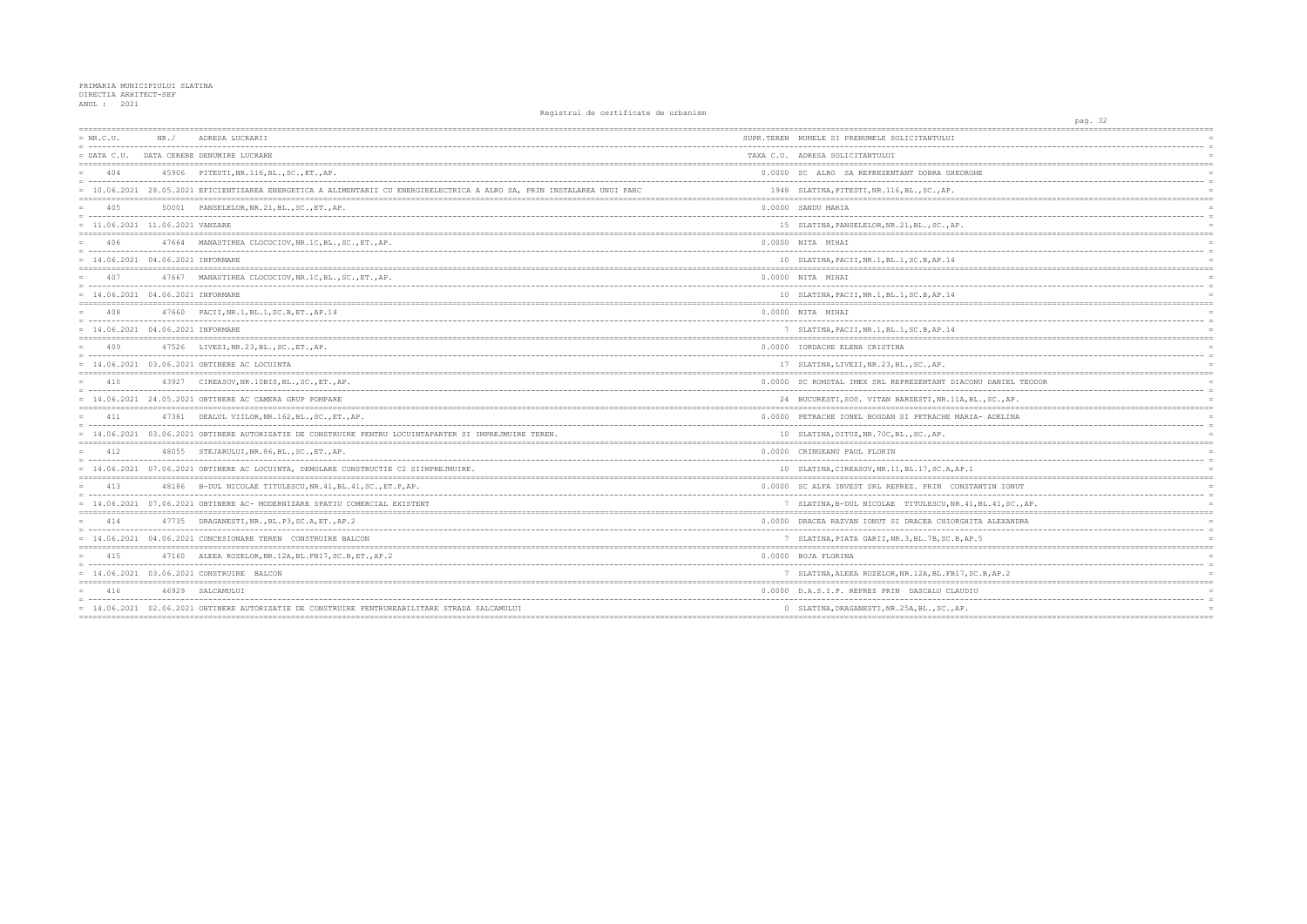| $= NR.C.U.$<br>- 1111111111         | NR. / | ADRESA LUCRARII                                                                                                          | SUPR.TEREN NUMELE SI PRENUMELE SOLICITANTULUI         |
|-------------------------------------|-------|--------------------------------------------------------------------------------------------------------------------------|-------------------------------------------------------|
| $=$ DATA C.U.                       |       | DATA CERERE DENUMIRE LUCRARE                                                                                             | TAXA C.U. ADRESA SOLICITANTULUI                       |
| 404                                 |       | 45906 PITESTI, NR. 116, BL., SC., ET., AP.                                                                               | 0.0000 SC ALRO SA REPREZENTANT DOBRA GHEORGHE         |
|                                     |       | = 10.06.2021 28.05.2021 EFICIENTIZAREA ENERGETICA A ALIMENTARII CU ENERGIEELECTRICA A ALRO SA, PRIN INSTALAREA UNUI PARC | 1948 SLATINA, PITESTI, NR. 116, BL., SC., AP.         |
| 405                                 |       | 50001 PANSELELOR, NR. 21, BL., SC., ET., AP.                                                                             | 0.0000 SANDU MARIA                                    |
| $= 11.06.2021 11.06.2021 VANZARE$   |       |                                                                                                                          | 15 SLATINA, PANSELELOR, NR. 21, BL., SC., AP.         |
| 406                                 |       | 47664 MANASTIREA CLOCOCIOV, NR. 1C, BL., SC., ET., AP.                                                                   | 0.0000 NITA MIHAI                                     |
| $= 14.06.2021 04.06.2021$ INFORMARE |       |                                                                                                                          | 10 SLATINA, PACII, NR.1, BL.1, SC.B, AP.14            |
| 407                                 |       | 47667 MANASTIREA CLOCOCIOV, NR. 1C, BL., SC., ET., AP.                                                                   | 0.0000 NITA MIHAI                                     |
| $= 14.06.2021 04.06.2021$ INFORMARE |       |                                                                                                                          | 10 SLATINA, PACII, NR. 1, BL. 1, SC. B, AP. 14        |
| 408                                 |       | 47660 PACII, NR. 1, BL. 1, SC. B, ET., AP. 14                                                                            | 0.0000 NITA MIHAI                                     |
| $= 14.06.2021 04.06.2021$ INFORMARE |       |                                                                                                                          | 7 SLATINA, PACII, NR. 1, BL. 1, SC. B, AP. 14         |
| 409                                 |       | 47526 LIVEZI, NR. 23, BL., SC., ET., AP.                                                                                 | 0.0000 IORDACHE ELENA CRISTINA                        |
|                                     |       | $= 14.06.2021 03.06.2021$ OBTINERE AC LOCUINTA                                                                           | 17 SLATINA, LIVEZI, NR. 23, BL., SC., AP.             |
| 410                                 | 43927 | CIREASOV, NR.10BIS, BL., SC., ET., AP.                                                                                   | 0.0000 SC ROMSTAL IMEX SRL REPREZENTANT DIACONU DA    |
|                                     |       | $= 14.06.2021$ 24.05.2021 OBTINERE AC CAMERA GRUP POMPARE                                                                | 24 BUCURESTI, SOS. VITAN BARZESTI, NR. 11A, BL., SO   |
| 411                                 |       | 47381 DEALUL VIILOR, NR.162, BL., SC., ET., AP.                                                                          | 0.0000 PETRACHE IONEL BOGDAN SI PETRACHE MARIA- AI    |
|                                     |       | 14.06.2021 03.06.2021 OBTINERE AUTORIZATIE DE CONSTRUIRE PENTRU LOCUINTAPARTER SI IMPREJMUIRE TEREN.                     | 10 SLATINA, OITUZ, NR. 70C, BL., SC., AP.             |
| 412                                 |       | 48055 STEJARULUI, NR.86, BL., SC., ET., AP.                                                                              | 0.0000 CRINGEANU PAUL FLORIN                          |
|                                     |       | = 14.06.2021 07.06.2021 OBTINERE AC LOCUINTA, DEMOLARE CONSTRUCTIE C2 SIIMPREJMUIRE.                                     | 10 SLATINA, CIREASOV, NR. 11, BL. 17, SC. A, AP. 1    |
| 413                                 | 48186 | B-DUL NICOLAE TITULESCU, NR. 41, BL. 41, SC., ET. P, AP.                                                                 | 0.0000 SC ALFA INVEST SRL REPREZ. PRIN CONSTANTIN     |
|                                     |       | = 14.06.2021 07.06.2021 OBTINERE AC- MODERNIZARE SPATIU COMERCIAL EXISTENT                                               | 7 SLATINA, B-DUL NICOLAE TITULESCU, NR. 41, BL. 4     |
| 414                                 |       | 47735 DRAGANESTI, NR., BL.P3, SC.A, ET., AP.2                                                                            | 0.0000 DRACEA RAZVAN IONUT SI DRACEA CHIORGHITA AI    |
|                                     |       | 14.06.2021 04.06.2021 CONCESIONARE TEREN CONSTRUIRE BALCON                                                               | 7 SLATINA, PIATA GARII, NR. 3, BL. 7B, SC. B, AP. 5   |
| 415                                 |       | 47160 ALEEA ROZELOR, NR. 12A, BL. FB17, SC. B, ET., AP. 2                                                                | 0.0000 BOJA FLORINA                                   |
|                                     |       | = 14.06.2021 03.06.2021 CONSTRUIRE BALCON                                                                                | 7 SLATINA, ALEEA ROZELOR, NR. 12A, BL. FB17, SC. B, A |
| 416                                 |       | 46929 SALCAMULUI                                                                                                         | 0.0000 D.A.S.I.P. REPREZ PRIN DASCALU CLAUDIU         |
|                                     |       | = 14.06.2021 02.06.2021 OBTINERE AUTORIZATIE DE CONSTRUIRE PENTRUREABILITARE STRADA SALCAMULUI                           | 0 SLATINA, DRAGANESTI, NR. 25A, BL., SC., AP.         |
|                                     |       |                                                                                                                          |                                                       |

|                                         | pag. 32 |                      |                            |             |            |
|-----------------------------------------|---------|----------------------|----------------------------|-------------|------------|
| <u> :=================</u>              |         | :=================== |                            |             |            |
|                                         |         |                      |                            |             |            |
|                                         |         |                      |                            |             | $=$        |
|                                         |         |                      |                            | $=$ $=$ $=$ |            |
| E                                       |         |                      |                            |             |            |
|                                         |         |                      |                            |             |            |
|                                         |         |                      |                            |             |            |
|                                         |         |                      |                            |             |            |
|                                         |         |                      |                            |             | $\equiv$   |
|                                         |         |                      |                            |             |            |
|                                         |         |                      |                            |             | $=$        |
|                                         |         |                      |                            |             |            |
|                                         |         |                      |                            |             |            |
| _________________________________       |         |                      |                            |             |            |
|                                         |         |                      |                            |             |            |
|                                         |         |                      |                            |             |            |
|                                         |         |                      |                            |             | $=$        |
|                                         |         |                      |                            |             |            |
|                                         |         |                      |                            |             |            |
|                                         |         |                      |                            |             |            |
|                                         |         |                      |                            |             |            |
|                                         |         |                      |                            |             |            |
|                                         |         |                      |                            |             |            |
|                                         |         |                      |                            |             |            |
| U DANIEL TEODOR<br>--------------       |         |                      |                            |             | $\equiv$   |
| ., SC., AP.                             |         |                      |                            |             |            |
|                                         |         |                      |                            |             |            |
| - ADELINA                               |         |                      |                            |             |            |
|                                         |         |                      |                            |             |            |
|                                         |         |                      |                            |             |            |
|                                         |         |                      |                            |             |            |
|                                         |         |                      |                            |             |            |
|                                         |         |                      |                            |             |            |
|                                         |         |                      |                            |             |            |
| NTIN IONUT<br>---------<br>$-$<br>$---$ |         |                      |                            |             | $\equiv$   |
| BL.41, SC., AP.                         |         |                      |                            |             |            |
| ---------------------                   |         |                      | -------------------------- |             | $=$        |
| A ALEXANDRA                             |         |                      |                            |             |            |
|                                         |         |                      |                            |             |            |
| 5                                       |         |                      |                            |             | $=$<br>$=$ |
|                                         |         |                      |                            |             |            |
|                                         |         |                      |                            |             | $=$        |
| .B, AP.2                                |         |                      |                            |             |            |
|                                         |         |                      |                            |             |            |
|                                         |         |                      |                            |             |            |
|                                         |         |                      |                            |             | $=$        |
|                                         |         |                      |                            |             |            |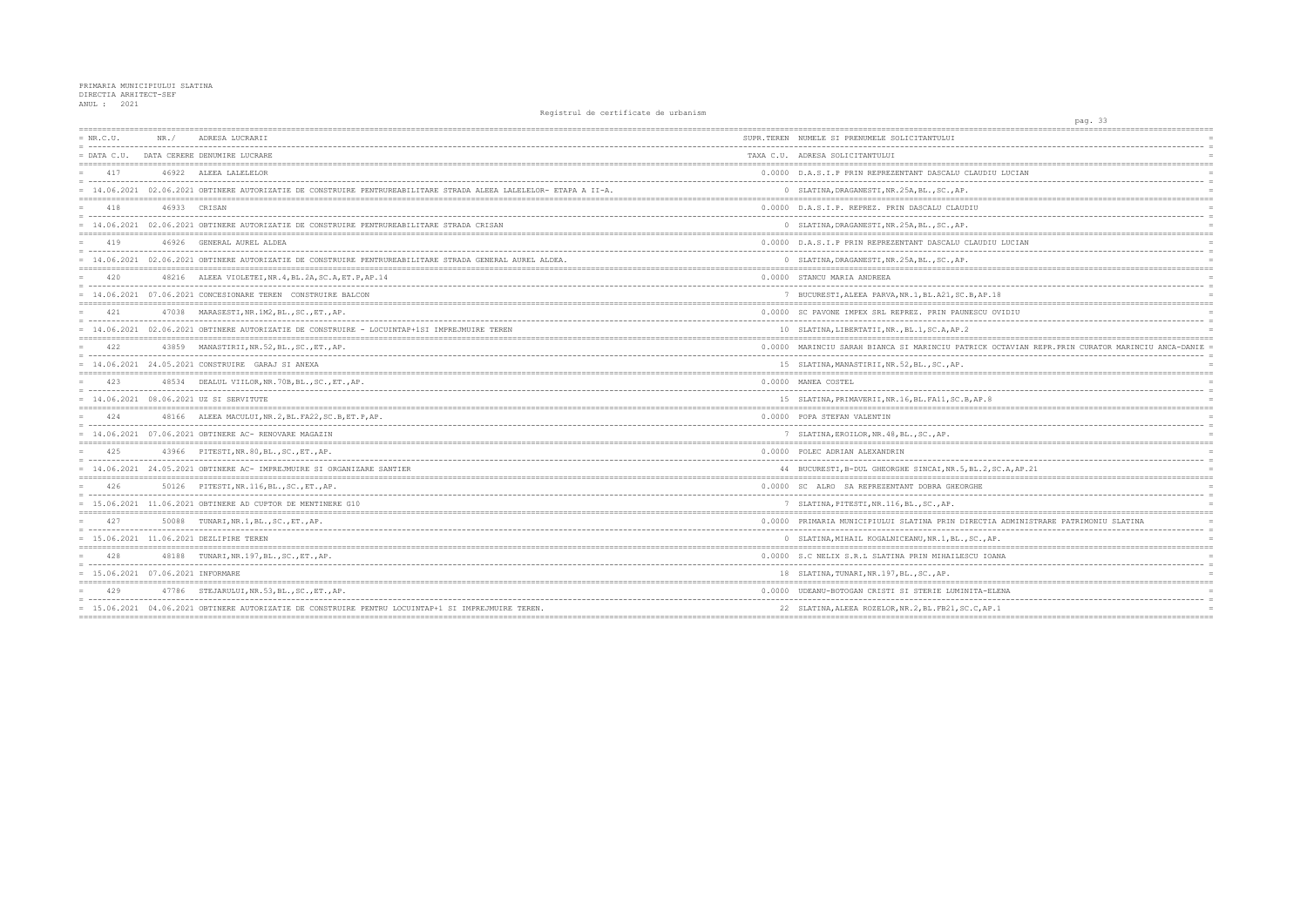| $= NR.C.U.$                         | NR. / | ADRESA LUCRARII                                                                                                                                                             | SUPR.TEREN NUMELE SI PRENUMELE SOLICITANTULUI         |
|-------------------------------------|-------|-----------------------------------------------------------------------------------------------------------------------------------------------------------------------------|-------------------------------------------------------|
| $=$ DATA C.U.                       |       | DATA CERERE DENUMIRE LUCRARE                                                                                                                                                | TAXA C.U. ADRESA SOLICITANTULUI                       |
| 417                                 |       | 46922 ALEEA LALELELOR                                                                                                                                                       | 0.0000 D.A.S.I.P PRIN REPREZENTANT DASCALU CLAUDI     |
|                                     |       | = 14.06.2021 02.06.2021 OBTINERE AUTORIZATIE DE CONSTRUIRE PENTRUREABILITARE STRADA ALEEA LALELELOR- ETAPA A II-A.                                                          | 0 SLATINA, DRAGANESTI, NR. 25A, BL., SC., AP.         |
| 418                                 |       | 46933 CRISAN                                                                                                                                                                | 0.0000 D.A.S.I.P. REPREZ. PRIN DASCALU CLAUDIU        |
|                                     |       | = 14.06.2021 02.06.2021 OBTINERE AUTORIZATIE DE CONSTRUIRE PENTRUREABILITARE STRADA CRISAN                                                                                  | 0 SLATINA, DRAGANESTI, NR. 25A, BL., SC., AP.         |
| 419                                 |       | 46926 GENERAL AUREL ALDEA                                                                                                                                                   | 0.0000 D.A.S.I.P PRIN REPREZENTANT DASCALU CLAUDI     |
|                                     |       | = 14.06.2021 02.06.2021 OBTINERE AUTORIZATIE DE CONSTRUIRE PENTRUREABILITARE STRADA GENERAL AUREL ALDEA.                                                                    | 0 SLATINA, DRAGANESTI, NR. 25A, BL., SC., AP.         |
| 420                                 |       | 48216 ALEEA VIOLETEI, NR. 4, BL. 2A, SC. A, ET. P, AP. 14<br>= concertational contract contract and concertation of the concertation of the contract of the contract of the | 0.0000 STANCU MARIA ANDREEA                           |
|                                     |       | = 14.06.2021 07.06.2021 CONCESIONARE TEREN CONSTRUIRE BALCON                                                                                                                | 7 BUCURESTI, ALEEA PARVA, NR.1, BL.A21, SC.B, AP.     |
| 421                                 |       | 47038 MARASESTI, NR. 1M2, BL., SC., ET., AP.                                                                                                                                | 0.0000 SC PAVONE IMPEX SRL REPREZ. PRIN PAUNESCU      |
|                                     |       | = 14.06.2021 02.06.2021 OBTINERE AUTORIZATIE DE CONSTRUIRE - LOCUINTAP+1SI IMPREJMUIRE TEREN                                                                                | 10 SLATINA, LIBERTATII, NR., BL.1, SC.A, AP.2         |
| 422                                 |       | 43859 MANASTIRII, NR.52, BL., SC., ET., AP.                                                                                                                                 | 0.0000 MARINCIU SARAH BIANCA SI MARINCIU PATRICK      |
|                                     |       | $= 14.06.2021$ 24.05.2021 CONSTRUIRE GARAJ SI ANEXA                                                                                                                         | 15 SLATINA, MANASTIRII, NR.52, BL., SC., AP.          |
| 423                                 |       | 48534 DEALUL VIILOR, NR. 70B, BL., SC., ET., AP.                                                                                                                            | 0.0000 MANEA COSTEL                                   |
|                                     |       | $= 14.06.2021 08.06.2021 UZ SI$ SERVITUTE                                                                                                                                   | 15 SLATINA, PRIMAVERII, NR.16, BL.FA11, SC.B, AP.8    |
| 424                                 |       | 48166 ALEEA MACULUI, NR.2, BL. FA22, SC.B, ET.P, AP.                                                                                                                        | 0.0000 POPA STEFAN VALENTIN                           |
|                                     |       | $= 14.06.2021$ 07.06.2021 OBTINERE AC- RENOVARE MAGAZIN                                                                                                                     | 7 SLATINA, EROILOR, NR. 48, BL., SC., AP.             |
| 42.5                                |       | 43966 PITESTI, NR. 80, BL., SC., ET., AP.                                                                                                                                   | 0.0000 POLEC ADRIAN ALEXANDRIN                        |
|                                     |       | = 14.06.2021 24.05.2021 OBTINERE AC- IMPREJMUIRE SI ORGANIZARE SANTIER                                                                                                      | 44 BUCURESTI, B-DUL GHEORGHE SINCAI, NR. 5, BL. 2,    |
| 426                                 |       | 50126 PITESTI, NR. 116, BL., SC., ET., AP.                                                                                                                                  | 0.0000 SC ALRO SA REPREZENTANT DOBRA GHEORGHE         |
|                                     |       | $= 15.06.2021$ 11.06.2021 OBTINERE AD CUPTOR DE MENTINERE G10                                                                                                               | 7 SLATINA, PITESTI, NR. 116, BL., SC., AP.            |
| 427                                 |       | 50088 TUNARI, NR.1, BL., SC., ET., AP.                                                                                                                                      | 0.0000 PRIMARIA MUNICIPIULUI SLATINA PRIN DIRECTI     |
|                                     |       | = 15.06.2021 11.06.2021 DEZLIPIRE TEREN                                                                                                                                     | 0 SLATINA, MIHAIL KOGALNICEANU, NR. 1, BL., SC., A    |
| 428                                 |       | 48188 TUNARI, NR. 197, BL., SC., ET., AP.                                                                                                                                   | 0.0000 S.C NELIX S.R.L SLATINA PRIN MIHAILESCU IO     |
| $= 15.06.2021 07.06.2021$ INFORMARE |       |                                                                                                                                                                             | 18 SLATINA, TUNARI, NR. 197, BL., SC., AP.            |
| 429                                 |       | 47786 STEJARULUI, NR.53, BL., SC., ET., AP.                                                                                                                                 | 0.0000 UDEANU-BOTOGAN CRISTI SI STERIE LUMINITA-E     |
|                                     |       | = 15.06.2021 04.06.2021 OBTINERE AUTORIZATIE DE CONSTRUIRE PENTRU LOCUINTAP+1 SI IMPREJMUIRE TEREN.                                                                         | 22 SLATINA, ALEEA ROZELOR, NR. 2, BL. FB21, SC. C, AF |
|                                     |       |                                                                                                                                                                             |                                                       |

| ;====================                                         | pag. 33 |  |  | --------------------------------- |          |
|---------------------------------------------------------------|---------|--|--|-----------------------------------|----------|
|                                                               |         |  |  |                                   |          |
|                                                               |         |  |  |                                   | $\equiv$ |
|                                                               |         |  |  |                                   |          |
|                                                               |         |  |  |                                   |          |
| JDIU LUCIAN                                                   |         |  |  |                                   |          |
|                                                               |         |  |  |                                   | $\equiv$ |
|                                                               |         |  |  |                                   | $=$      |
|                                                               |         |  |  |                                   |          |
|                                                               |         |  |  |                                   | $\equiv$ |
|                                                               |         |  |  |                                   | $=$      |
|                                                               |         |  |  |                                   |          |
| <b>JDIU LUCIAN</b>                                            |         |  |  |                                   |          |
|                                                               |         |  |  |                                   | $=$      |
|                                                               |         |  |  |                                   |          |
|                                                               |         |  |  |                                   |          |
|                                                               |         |  |  |                                   | $=$      |
|                                                               |         |  |  |                                   | $\equiv$ |
| <b>P.18</b>                                                   |         |  |  |                                   | $=$      |
|                                                               |         |  |  | $=$ $=$ $=$                       |          |
| U OVIDIU                                                      |         |  |  |                                   |          |
|                                                               |         |  |  |                                   | $=$      |
|                                                               |         |  |  |                                   |          |
| XK OCTAVIAN REPR. PRIN CURATOR MARINCIU ANCA-DANIE            |         |  |  |                                   | $\equiv$ |
|                                                               |         |  |  |                                   | $\equiv$ |
|                                                               |         |  |  |                                   |          |
|                                                               |         |  |  |                                   |          |
|                                                               |         |  |  |                                   |          |
|                                                               |         |  |  |                                   | $\equiv$ |
| .8                                                            |         |  |  |                                   |          |
| :=========                                                    |         |  |  |                                   |          |
|                                                               |         |  |  |                                   | $\equiv$ |
|                                                               |         |  |  |                                   |          |
|                                                               |         |  |  |                                   |          |
|                                                               |         |  |  |                                   |          |
|                                                               |         |  |  |                                   | $=$      |
| 2, SC.A, AP. 21                                               |         |  |  |                                   | $=$      |
|                                                               |         |  |  |                                   |          |
|                                                               |         |  |  |                                   |          |
|                                                               |         |  |  |                                   | $\equiv$ |
|                                                               |         |  |  |                                   |          |
| :=========<br>:===============================                |         |  |  |                                   |          |
| TIA ADMINISTRARE PATRIMONIU SLATINA<br>$- -$<br>_____________ |         |  |  |                                   | $=$      |
|                                                               |         |  |  |                                   | $\equiv$ |
| , AP.                                                         |         |  |  |                                   |          |
| IOANA                                                         |         |  |  |                                   | $=$      |
|                                                               |         |  |  |                                   | $\equiv$ |
|                                                               |         |  |  |                                   |          |
|                                                               |         |  |  |                                   |          |
| -ELENA                                                        |         |  |  |                                   |          |
|                                                               |         |  |  |                                   | $\equiv$ |
| AP.1                                                          |         |  |  |                                   | $=$      |
|                                                               |         |  |  |                                   |          |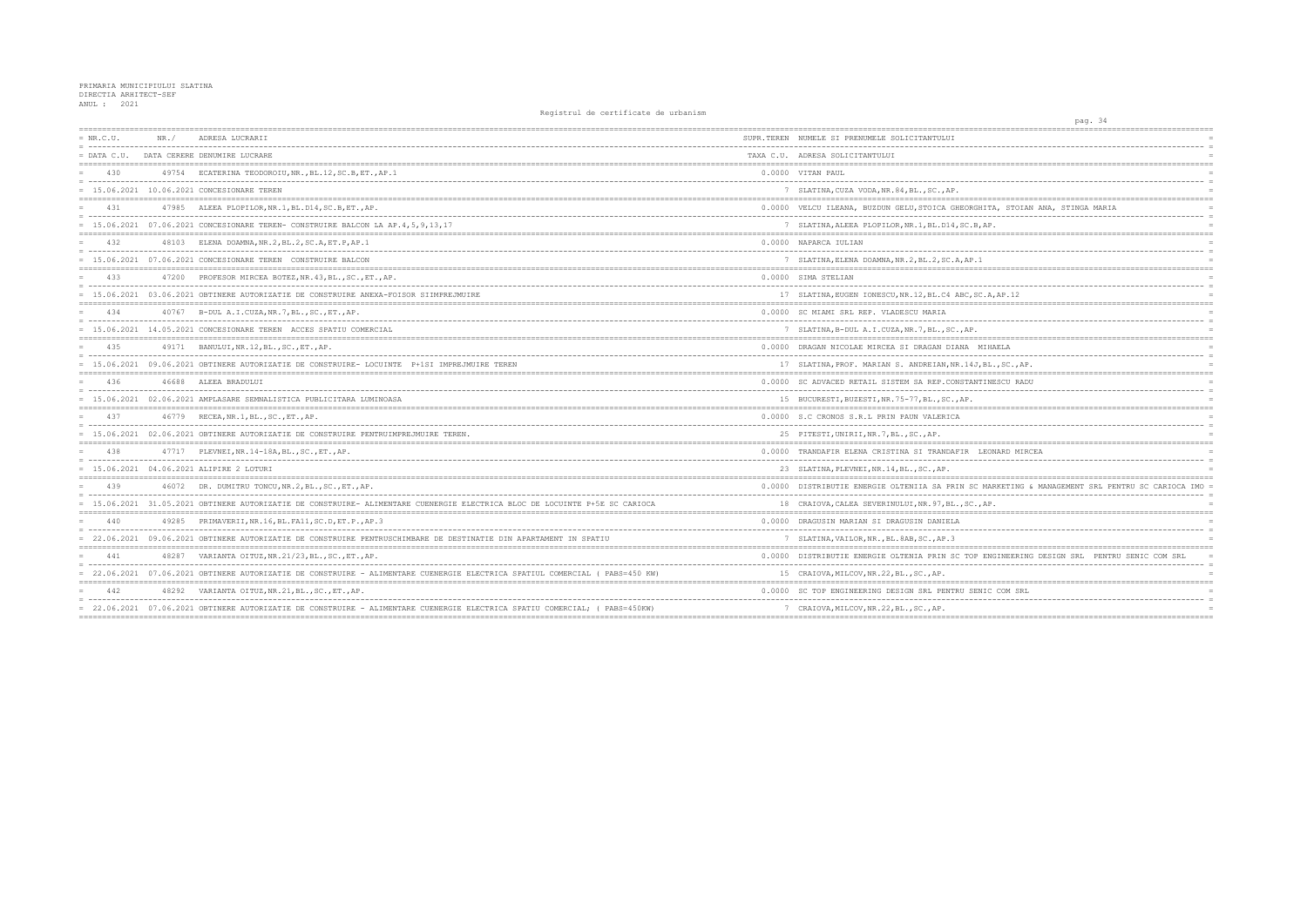| $= NR.C.U.$ | NR. / | ADRESA LUCRARII                                                                                                              | SUPR.TEREN NUMELE SI PRENUMELE SOLICITANTULUI        |
|-------------|-------|------------------------------------------------------------------------------------------------------------------------------|------------------------------------------------------|
|             |       | = DATA C.U. DATA CERERE DENUMIRE LUCRARE                                                                                     | TAXA C.U. ADRESA SOLICITANTULUI                      |
| 430         |       | 49754 ECATERINA TEODOROIU, NR., BL.12, SC.B, ET., AP.1                                                                       | 0.0000 VITAN PAUL                                    |
|             |       | = 15.06.2021 10.06.2021 CONCESIONARE TEREN                                                                                   | 7 SLATINA, CUZA VODA, NR. 84, BL., SC., AP.          |
| 431         |       | 47985 ALEEA PLOPILOR, NR. 1, BL. D14, SC. B, ET., AP.                                                                        | 0.0000 VELCU ILEANA, BUZDUN GELU, STOICA GHEORGHIT   |
|             |       | = 15.06.2021 07.06.2021 CONCESIONARE TEREN- CONSTRUIRE BALCON LA AP.4,5,9,13,17                                              | 7 SLATINA, ALEEA PLOPILOR, NR. 1, BL. D14, SC. B, AP |
| 432         |       | 48103 ELENA DOAMNA, NR. 2, BL. 2, SC. A, ET. P, AP. 1                                                                        | 0.0000 NAPARCA IULIAN                                |
|             |       | = 15.06.2021 07.06.2021 CONCESIONARE TEREN CONSTRUIRE BALCON                                                                 | 7 SLATINA, ELENA DOAMNA, NR. 2, BL. 2, SC. A, AP. 1  |
| 433         |       | 47200 PROFESOR MIRCEA BOTEZ, NR. 43, BL., SC., ET., AP.                                                                      | 0.0000 SIMA STELIAN                                  |
|             |       | = 15.06.2021 03.06.2021 OBTINERE AUTORIZATIE DE CONSTRUIRE ANEXA-FOISOR SIIMPREJMUIRE                                        | 17 SLATINA, EUGEN IONESCU, NR. 12, BL. C4 ABC, SC. A |
| 434         |       | 40767 B-DUL A.I.CUZA, NR.7, BL., SC., ET., AP.                                                                               | 0.0000 SC MIAMI SRL REP. VLADESCU MARIA              |
|             |       | = 15.06.2021 14.05.2021 CONCESIONARE TEREN ACCES SPATIU COMERCIAL                                                            | 7 SLATINA, B-DUL A.I.CUZA, NR.7, BL., SC., AP.       |
| 435         |       | 49171 BANULUI, NR. 12, BL., SC., ET., AP.                                                                                    | 0.0000 DRAGAN NICOLAE MIRCEA SI DRAGAN DIANA MIH     |
|             |       | = 15.06.2021 09.06.2021 OBTINERE AUTORIZATIE DE CONSTRUIRE- LOCUINTE P+1SI IMPREJMUIRE TEREN                                 | 17 SLATINA, PROF. MARIAN S. ANDREIAN, NR. 14J, BL    |
| 436         |       | 46688 ALEEA BRADULUI                                                                                                         | 0.0000 SC ADVACED RETAIL SISTEM SA REP.CONSTANTIN    |
|             |       | = 15.06.2021 02.06.2021 AMPLASARE SEMNALISTICA PUBLICITARA LUMINOASA                                                         | 15 BUCURESTI, BUZESTI, NR. 75-77, BL., SC., AP.      |
| 437         |       | 46779 RECEA, NR. 1, BL., SC., ET., AP.                                                                                       | 0.0000 S.C CRONOS S.R.L PRIN PAUN VALERICA           |
|             |       | = 15.06.2021 02.06.2021 OBTINERE AUTORIZATIE DE CONSTRUIRE PENTRUIMPREJMUIRE TEREN.                                          | 25 PITESTI, UNIRII, NR. 7, BL., SC., AP.             |
| 438         |       | 47717 PLEVNEI, NR. 14-18A, BL., SC., ET., AP.                                                                                | 0.0000 TRANDAFIR ELENA CRISTINA SI TRANDAFIR LEO     |
|             |       | $= 15.06.2021 04.06.2021 ALIPIRE 2 LOTURI$                                                                                   | 23 SLATINA, PLEVNEI, NR. 14, BL., SC., AP.           |
| 439         |       | 46072 DR. DUMITRU TONCU, NR.2, BL., SC., ET., AP.                                                                            | 0.0000 DISTRIBUTIE ENERGIE OLTENIIA SA PRIN SC MA    |
|             |       | = 15.06.2021 31.05.2021 OBTINERE AUTORIZATIE DE CONSTRUIRE- ALIMENTARE CUENERGIE ELECTRICA BLOC DE LOCUINTE P+5E SC CARIOCA  | 18 CRAIOVA, CALEA SEVERINULUI, NR. 97, BL., SC., AP  |
| 440         |       | 49285 PRIMAVERII, NR. 16, BL. FA11, SC. D, ET. P., AP. 3                                                                     | 0.0000 DRAGUSIN MARIAN SI DRAGUSIN DANIELA           |
|             |       | = 22.06.2021 09.06.2021 OBTINERE AUTORIZATIE DE CONSTRUIRE PENTRUSCHIMBARE DE DESTINATIE DIN APARTAMENT IN SPATIU            | 7 SLATINA, VAILOR, NR., BL. 8AB, SC., AP. 3          |
| 441         |       | 48287 VARIANTA OITUZ, NR. 21/23, BL., SC., ET., AP.                                                                          | 0.0000 DISTRIBUTIE ENERGIE OLTENIA PRIN SC TOP EN    |
|             |       | = 22.06.2021 07.06.2021 OBTINERE AUTORIZATIE DE CONSTRUIRE - ALIMENTARE CUENERGIE ELECTRICA SPATIUL COMERCIAL ( PABS=450 KW) | 15 CRAIOVA, MILCOV, NR. 22, BL., SC., AP.            |
| 442         |       | 48292 VARIANTA OITUZ, NR. 21, BL., SC., ET., AP.                                                                             | 0.0000 SC TOP ENGINEERING DESIGN SRL PENTRU SENIC    |
|             |       | = 22.06.2021 07.06.2021 OBTINERE AUTORIZATIE DE CONSTRUIRE - ALIMENTARE CUENERGIE ELECTRICA SPATIU COMERCIAL; ( PABS=450KW)  | 7 CRAIOVA, MILCOV, NR. 22, BL., SC., AP.             |
|             |       |                                                                                                                              |                                                      |

| pag. 34                                            |            |
|----------------------------------------------------|------------|
|                                                    |            |
| ----------------                                   | $=$        |
|                                                    | $=$        |
|                                                    |            |
|                                                    | $=$        |
|                                                    | $=$        |
|                                                    | $=$        |
| HITA, STOIAN ANA, STINGA MARIA                     |            |
| --------------                                     | $=$        |
| AP.                                                | $=$        |
|                                                    |            |
|                                                    | $=$        |
|                                                    | $=$<br>$=$ |
|                                                    |            |
|                                                    |            |
|                                                    | $=$        |
| C.A, AP.12                                         |            |
|                                                    | $=$        |
|                                                    | $=$        |
|                                                    | $=$        |
|                                                    |            |
| <b>IIHAELA</b>                                     | $=$        |
|                                                    |            |
| BL., SC., AP.                                      | $=$        |
| <b>TINESCU RADU</b>                                | $=$        |
|                                                    | $=$        |
|                                                    | $=$        |
|                                                    |            |
|                                                    | $=$        |
|                                                    |            |
|                                                    | $=$        |
| <b>EONARD MIRCEA</b>                               | $=$        |
|                                                    | $\equiv$   |
|                                                    |            |
|                                                    |            |
| MARKETING & MANAGEMENT SRL PENTRU SC CARIOCA IMO = | $=$        |
| AP.                                                | $=$        |
|                                                    |            |
|                                                    | $=$        |
|                                                    | $=$        |
|                                                    | $=$        |
|                                                    |            |
| ENGINEERING DESIGN SRL PENTRU SENIC COM SRL        | $\equiv$   |
|                                                    |            |
|                                                    |            |
| VIC COM SRL                                        |            |
|                                                    |            |
|                                                    | $=$        |
|                                                    |            |